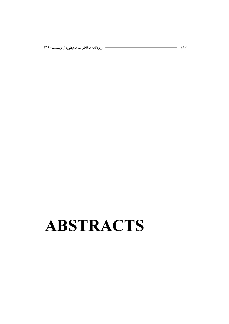# **ABSTRACTS**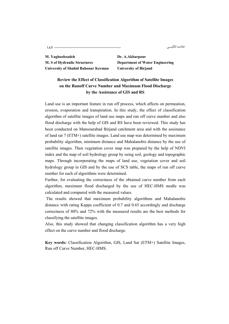187 خلاصه انگلیسی

**M. Yaghoobzadeh Dr. A.Akbarpour M. S of Hydraulic Structures Department of Water Engineering University of Shahid Bahonar Kerman University of Birjand** 

### **Review the Effect of Classification Algorithm of Satellite Images on the Runoff Curve Number and Maximum Flood Discharge by the Assistance of GIS and RS**

Land use is an important feature in run off process, which affects on permeation, erosion, evaporation and transpiration. In this study, the effect of classification algorithm of satellite images of land use maps and run off curve number and also flood discharge with the help of GIS and RS have been reviewed. This study has been conducted on Mansourabad Birjand catchment area and with the assistance of land sat 7 (ETM+) satellite images. Land use map was determined by maximum probability algorithm, minimum distance and Mahalanobis distance by the use of satellite images. Then vegetation cover map was prepared by the help of NDVI index and the map of soil hydrology group by using soil, geology and topographic maps. Through incorporating the maps of land use, vegetation cover and soil hydrology group in GIS and by the use of SCS table, the maps of run off curve number for each of algorithms were determined.

Further, for evaluating the correctness of the obtained curve number from each algorithm, maximum flood discharged by the use of HEC-HMS modle was calculated and compared with the measured values.

 The results showed that maximum probability algorithms and Mahalanobis distance with rating Kappa coefficient of 0.7 and 0.65 accordingly and discharge correctness of 80% and 72% with the measured results are the best methods for classifying the satellite images.

Also, this study showed that changing classification algorithm has a very high effect on the curve number and flood discharge.

**Key words:** Classification Algorithm, GIS, Land Sat (ETM+) Satellite Images, Run off Curve Number, HEC-HMS.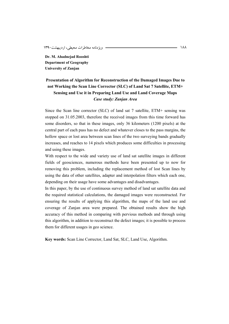**Dr. M. Ahadnejad Rooshti Department of Geography University of Zanjan** 

## **Presentation of Algorithm for Reconstruction of the Damaged Images Due to not Working the Scan Line Corrector (SLC) of Land Sat 7 Satellite, ETM+ Sensing and Use it in Preparing Land Use and Land Coverage Maps**  *Case study: Zanjan Area*

Since the Scan line corrector (SLC) of land sat 7 satellite, ETM+ sensing was stopped on 31.05.2003, therefore the received images from this time forward has some disorders, so that in these images, only 36 kilometers (1200 pixels) at the central part of each pass has no defect and whatever closes to the pass margins, the hollow space or lost area between scan lines of the two surveying bands gradually increases, and reaches to 14 pixels which produces some difficulties in processing and using these images.

With respect to the wide and variety use of land sat satellite images in different fields of geosciences, numerous methods have been presented up to now for removing this problem, including the replacement method of lost Scan lines by using the data of other satellites, adapter and interpolation filters which each one, depending on their usage have some advantages and disadvantages.

In this paper, by the use of continuous survey method of land sat satellite data and the required statistical calculations, the damaged images were reconstructed. For ensuring the results of applying this algorithm, the maps of the land use and coverage of Zanjan area were prepared. The obtained results show the high accuracy of this method in comparing with pervious methods and through using this algorithm, in addition to reconstruct the defect images; it is possible to process them for different usages in geo science.

**Key words:** Scan Line Corrector, Land Sat, SLC, Land Use, Algorithm.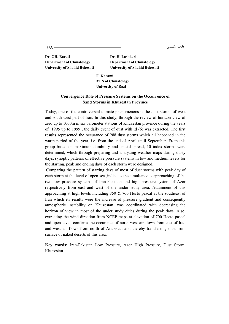خلاصه انگلیسی

**Dr. GH. Barati Dr. H. Lashkari Department of Climatology Department of Climatology** 

**University of Shahid Beheshti University of Shahid Beheshti** 

**F. Karami M. S of Climatology University of Razi** 

#### **Convergence Role of Pressure Systems on the Occurrence of Sand Storms in Khuzestan Province**

Today, one of the controversial climate phenomenons is the dust storms of west and south west part of Iran. In this study, through the review of horizon view of zero up to 1000m in six barometer stations of Khuzestan province during the years of 1995 up to 1999 , the daily event of dust with id (6) was extracted. The first results represented the occurance of 288 dust storms which all happened in the warm period of the year, i.e. from the end of April until September. From this group based on maximum durability and spatial spread, 10 index storms were determined, which through preparing and analyzing weather maps during dusty days, synoptic patterns of effective pressure systems in low and medium levels for the starting, peak and ending days of each storm were designed.

 Comparing the pattern of starting days of most of dust storms with peak day of each storm at the level of open sea ,indicates the simultaneous approaching of the two low pressure systems of Iran-Pakistan and high pressure system of Azor respectively from east and west of the under study area. Attainment of this approaching at high levels including 850 & 7oo Hecto pascal at the southeast of Iran which its results were the increase of pressure gradient and consequently atmospheric instability on Khuzestan, was coordinated with decreasing the horizon of view in most of the under study cities during the peak days. Also, extracting the wind direction from NCEP maps at elevation of 700 Hecto pascal and open level, confirms the occurance of north west air flows from east of Iraq and west air flows from north of Arabistan and thereby transferring dust from surface of naked deserts of this area.

**Key words:** Iran-Pakistan Low Pressure, Azor High Pressure, Dust Storm, Khuzestan.

می او با علم اللہ علی سے اس کا اس کا اس کا اس کا اس کا اس کا اس کا اس کا اس کا اس کا اس کا اس کا اس کا اس کا ا<br>اس کا اس کا اس کا اس کا اس کا اس کا اس کا اس کا اس کا اس کا اس کا اس کا اس کا اس کا اس کا اس کا اس کا اس کا اس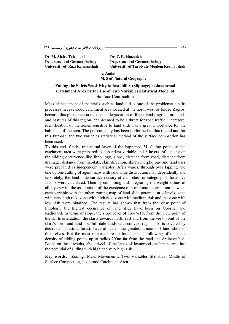Dr. M. Alaiee Taleghani **Dr. Z. Rahimzadeh** 

**Department of Geomorphology Department of Geomorphology University of Razi Kermanshah University of Tarbiyate Moalem Kermanshah** 

> **A. Amini M. S of Natural Geography**

#### **Zoning the Skirts Sensitivity to Instability (Slippage) at Javanrood Catchment Area by the Use of Two Variables Statistical Model of Surface Compaction**

Mass displacement of materials such as land slid is one of the problematic skirt processes in Javanrood catchment area located at the north west of folded Zagros, because this phenomenon makes the degradation of forest lands, agriculture lands and pastures of this region, and deemed to be a threat for road traffic. Therefore, identification of the zones sensitive to land slide has a great importance for the habitants of the area. The present study has been performed in this regard and for this Purpose, the two variables statistical method of the surface compaction has been used.

To this end. firstly, transmittal layer of the happened 31 sliding points at the catchment area were prepared as dependent variable and 8 layers influencing on the sliding occurrence like litho logy, slope, distance from road, distance from drainage, distance from habitats, skirt direction, skirt's morphology and land uses were prepared as independent variables. After wards, through over lapping and one by one cutting of agent maps with land slide distribution map dependently and separately, the land slide surface density at each class or category of the above factors were calculated. Then by combining and integrating the weight values of all layers with the assumption of the existence of a minimum correlation between each variable with the other, zoning map of land slide potential at 4 levels, zone with very high risk, zone with high risk, zone with medium risk and the zone with low risk were obtained. The results has shown that from the view point of lithology, the highest occurance of land slide have been on Goorpei and Radiolarit. In terms of slope, the slope level of %6- %18, from the view point of the skirts orientation, the skirts towards north east and from the view point of the skirt's form and land use, hill dale lands with convex, regular skirts covered by destructed chestnut forest, have allocated the greatest amount of land slide to themselves. But the most important result has been the following of the most density of sliding points up to radios 200m far from the road and drainage bed. Based on these results, about %65 of the lands of Javanrood catchment area has the potential of sliding with high and very high risk.

**Key words:** Zoning, Mass Movements, Two Variables Statistical Modle of Surface Compaction, Javanrood Catchment Area.

190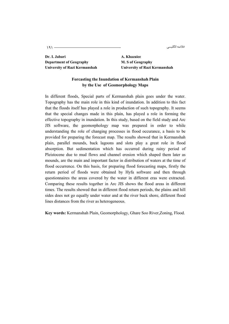خلاصه انگليسي

**Dr. I. Jabari Manuel A. Khazaiee Department of Geography M. S of Geography** 

**University of Razi Kermanshah University of Razi Kermanshah** 

#### **Forcasting the Inundation of Kermanshah Plain by the Use of Geomorphology Maps**

In different floods, Special parts of Kermanshah plain goes under the water. Topography has the main role in this kind of inundation. In addition to this fact that the floods itself has played a role in production of such topography. It seems that the special changes made in this plain, has played a role in forming the effective topography in inundation. In this study, based on the field study and Arc JIS software, the geomorphology map was prepared in order to while understanding the role of changing processes in flood occurance, a basis to be provided for preparing the forecast map. The results showed that in Kermanshah plain, parallel mounds, back lagoons and slots play a great role in flood absorption. But sedimentation which has occurred during rainy period of Pleistocene due to mud flows and channel erosion which shaped them later as mounds, are the main and important factor in distribution of waters at the time of flood occurrence. On this basis, for preparing flood forecasting maps, firstly the return period of floods were obtained by Hyfa software and then through questionnaires the areas covered by the water in different eras were extracted. Comparing these results together in Arc JIS shows the flood areas in different times. The results showed that in different flood return periods, the plains and hill sides does not go equally under water and at the river back shore, different flood lines distances from the river as heterogeneous.

**Key words:** Kermanshah Plain, Geomorphology, Ghare Soo River,Zoning, Flood.

گلیسی **میکنند که در این مواد به درمان است از این** مواد به این مواد به این مواد به این مواد به این مواد به این مو<br>این مواد به این مواد به این مواد به این مواد به این مواد به این مواد به این مواد به این مواد به این مواد به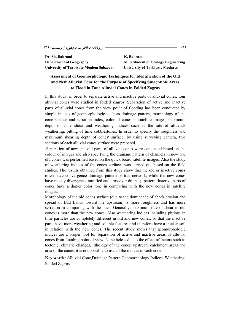**Dr. Sh. Bahrami K. Bahrami Department of Geography M. S Student of Geology Engineering University of Tarbiyate Moalem Sabzevar University of Tarbiyate Modares** 

#### **Assessment of Geomorphologic Techniques for Identification of the Old and New Alluvial Cone for the Purpose of Specifying Susceptible Areas to Flood in Four Alluvial Cones in Folded Zagros**

In this study, in order to separate active and inactive parts of alluvial cones, four alluvial cones were studied in folded Zagros. Separation of active and inactive parts of alluvial cones from the view point of flooding has been conducted by simple indices of geomorphologic such as drainage pattern, morphology of the cone surface and serration index, color of cones in satellite images, maximum depth of cone shear and weathering indices such as the rate of alluvials weathering, pitting of time cobblestones. In order to specify the roughness and maximum shearing depth of cones' surface, by using surveying camera, two sections of each alluvial cones surface were prepared.

 Separation of new and old parts of alluvial cones were conducted based on the colour of images and also specifying the drainage pattern of channels in new and old cones was performed based on the quick board satellite images. Also the study of weathering indices of the cones surfaces was carried out based on the field studies. The results obtained from this study show that the old or inactive cones often have convergence drainage pattern or tree network, while the new cones have mostly divergence, ramified and crossover drainage pattern. Inactive parts of cones have a darker color tone in comparing with the new cones in satellite images.

Morphology of the old cones surface (due to the dominance of aback erosion and spread of Bad Lands toward the upstream) is more roughness and has more serration in comparing with the ones. Generally, maximum rate of shear in old cones is more than the new cones. Also weathering indices including pittings in time particles are completely different in old and new cones, so that the inactive parts have more weathering and soluble features and therefore have a thicker soil in relation with the new cones. The recent study shows that geomorphologic indices are a proper tool for separation of active and inactive areas of alluvial cones from flooding point of view. Nonetheless due to the effect of factors such as tectonic, climatic changes, lithology of the cones' upstream catchment areas and area of the cones, it is not possible to use all the indices in each cone.

**Key words:** Alluvial Cone,Drainage Pattern,Geomorphology Indices, Weathering, Folded Zagros.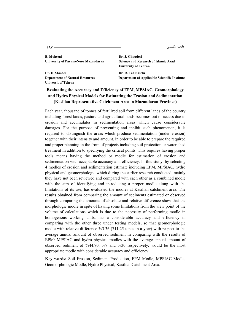المسى من المستمر المستمر المستمر المستمر المستمر المستمر المستمر المستمر المستمر المستمر المستمر المستمر المست<br>المستمر المستمر المستمر المستمر المستمر المستمر المستمر المستمر المستمر المستمر المستمر المستمر المستمر المستم خلاصه انگلیسی

**B. Mohseni Dr. J. Ghoudosi University of PayameNoor Mazandaran Science and Research of Islamic Azad** 

**Dr. H.Ahmadi Dr. R. Tahmasebi Universit of Tehran** 

**University of Tehran** 

**Department of Natural Resources Department of Applicable Scientific Institute** 

#### **Evaluating the Accuracy and Efficiency of EPM, MPSIAC, Geomorphology and Hydro Physical Models for Estimating the Erosion and Sedimentation (Kasilian Representative Catchment Area in Mazandaran Province)**

Each year, thousand of tonnes of fertilized soil from different lands of the country including forest lands, pasture and agricultural lands becomes out of access due to erosion and accumulates in sedimentation areas which cause considerable damages. For the purpose of preventing and inhibit such phenomenon, it is required to distinguish the areas which produce sedimentation (under erosion) together with their intensity and amount, in order to be able to prepare the required and proper planning in the from of projects including soil protection or water shed treatment in addition to specifying the critical points. This requires having proper tools means having the method or modle for estimation of erosion and sedimentation with acceptable accuracy and efficiency. In this study, by selecting 4 modles of erosion and sedimentation estimate including EPM, MPSIAC, hydro physical and geomorphologic which during the earlier research conducted, mainly they have not been reviewed and compared with each other as a combined modle with the aim of identifying and introducing a proper modle along with the limitations of its use, has evaluated the modles at Kasilian catchment area. The results obtained from comparing the amount of sediments estimated or observed through comparing the amounts of absolute and relative difference show that the morphologic modle in spite of having some limitations from the view point of the volume of calculations which is due to the necessity of performing modle in homogenous working units, has a considerable accuracy and efficiency in comparing with the other three under testing models, so that geomorphologic modle with relative difference %3.36 (711.25 tones in a year) with respect to the average annual amount of observed sediment in comparing with the results of EPM/ MPSIAC and hydro physical modles with the average annual amount of observed sediment of %44.70, %7 and %30 respectively, would be the most appropriate modle with considerable accuracy and efficiency.

**Key words:** Soil Erosion, Sediment Production, EPM Modle, MPSIAC Modle, Geomorphologic Modle, Hydro Physical, Kasilian Catchment Area.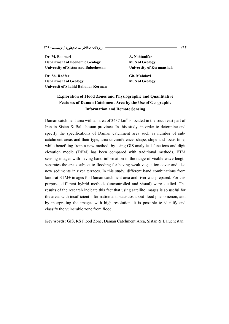**Dr. M. Boomeri A. Nohtanifar Department of Economic Geology M. S of Geology University of Sistan and Baluchestan University of Kermanshah** 

Dr. Sh. Radfar Gh. Mahdavi **Department of Geology M. S of Geology Universit of Shahid Bahonar Kerman** 

### **Exploration of Flood Zones and Physiographic and Quantitative Features of Daman Catchment Area by the Use of Geographic Information and Remote Sensing**

Daman catchment area with an area of  $3437 \text{ km}^2$  is located in the south east part of Iran in Sistan & Baluchestan province. In this study, in order to determine and specify the specifications of Daman catchment area such as number of subcatchment areas and their type, area circumference, shape, slope and focus time, while benefiting from a new method, by using GIS analytical functions and digit elevation modle (DEM) has been compared with traditional methods. ETM sensing images with having band information in the range of visible wave length separates the areas subject to flooding for having weak vegetation cover and also new sediments in river terraces. In this study, different band combinations from land sat ETM+ images for Daman catchment area and river was prepared. For this purpose, different hybrid methods (uncontrolled and visual) were studied. The results of the research indicate this fact that using satellite images is so useful for the areas with insufficient information and statistios about flood phenomenon, and by interpreting the images with high resolution, it is possible to identify and classify the vulnerable zone from flood.

**Key words:** GIS, RS Flood Zone, Daman Catchment Area, Sistan & Baluchestan.

194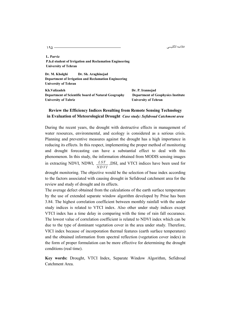خلاصه انگلیسی

195 

**L. Parviz P.h.d student of Irrigation and Reclamation Engineering University of Tehran** 

**Dr. M. Kholghi Dr. Sh. Araghinejad Department of Irrigation and Reclamation Engineering University of Tehran** 

**Kh.Valizadeh Dr. P. Irannejad Department of Scientific board of Natural Geography Department of Geophysics Institute University of Tabriz University of Tehran** 

#### **Review the Efficiency Indices Resulting from Remote Sensing Technology in Evaluation of Meteorological Drought** *Case study: Sefidroud Catchment area*

During the recent years, the drought with destructive effects in management of water resources, environmental, and ecology is considered as a serious crisis. Planning and preventive measures against the drought has a high importance in reducing its effects. In this respect, implementing the proper method of monitoring and drought forecasting can have a substantial effect to deal with this phenomenon. In this study, the information obtained from MODIS sensing images in extracting NDVI, NDWI, *LST NDVI* ,DSI, and VTCI indices have been used for

drought monitoring. The objective would be the selection of base index according to the factors associated with causing drought in Sefidroud catchment area for the review and study of drought and its effects.

The average defect obtained from the calculations of the earth surface temperature by the use of extended separate window algorithm developed by Prise has been 3.84. The highest correlation coefficient between monthly rainfall with the under study indices is related to VTCI index. Also other under study indices except VTCI index has a time delay in comparing with the time of rain fall occurance. The lowest value of correlation coefficient is related to NDVI index which can be due to the type of dominant vegetation cover in the area under study. Therefore, VICI index because of incorporation thermal features (earth surface temperature) and the obtained information from spectral reflection (vegetation cover index) in the form of proper formulation can be more effective for determining the drought conditions (real time).

**Key words:** Drought, VTCI Index, Separate Window Algorithm, Sefidroud Catchment Area.